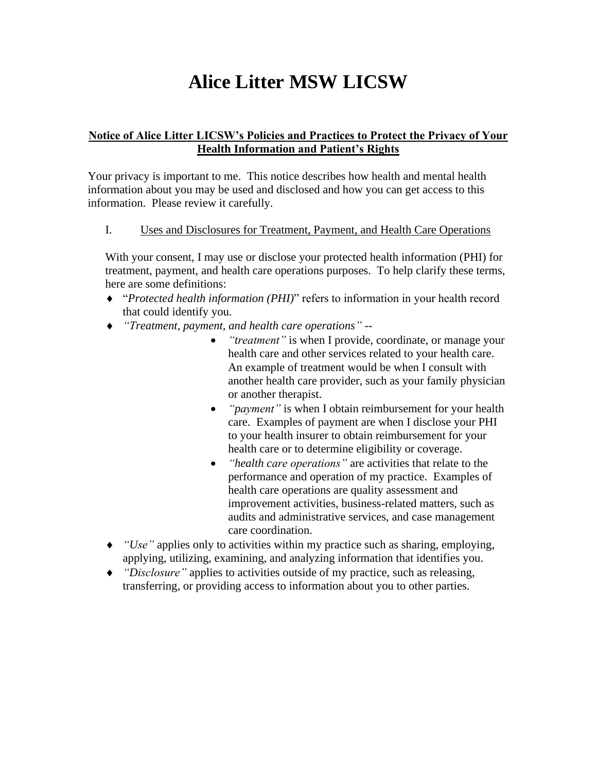# **Alice Litter MSW LICSW**

# **Notice of Alice Litter LICSW's Policies and Practices to Protect the Privacy of Your Health Information and Patient's Rights**

Your privacy is important to me. This notice describes how health and mental health information about you may be used and disclosed and how you can get access to this information. Please review it carefully.

# I. Uses and Disclosures for Treatment, Payment, and Health Care Operations

With your consent, I may use or disclose your protected health information (PHI) for treatment, payment, and health care operations purposes. To help clarify these terms, here are some definitions:

- "*Protected health information (PHI)*" refers to information in your health record that could identify you.
- *"Treatment, payment, and health care operations" --*
	- *"treatment"* is when I provide, coordinate, or manage your health care and other services related to your health care. An example of treatment would be when I consult with another health care provider, such as your family physician or another therapist.
	- *"payment"* is when I obtain reimbursement for your health care. Examples of payment are when I disclose your PHI to your health insurer to obtain reimbursement for your health care or to determine eligibility or coverage.
	- *"health care operations"* are activities that relate to the performance and operation of my practice. Examples of health care operations are quality assessment and improvement activities, business-related matters, such as audits and administrative services, and case management care coordination.
- *"Use"* applies only to activities within my practice such as sharing, employing, applying, utilizing, examining, and analyzing information that identifies you.
- *"Disclosure"* applies to activities outside of my practice, such as releasing, transferring, or providing access to information about you to other parties.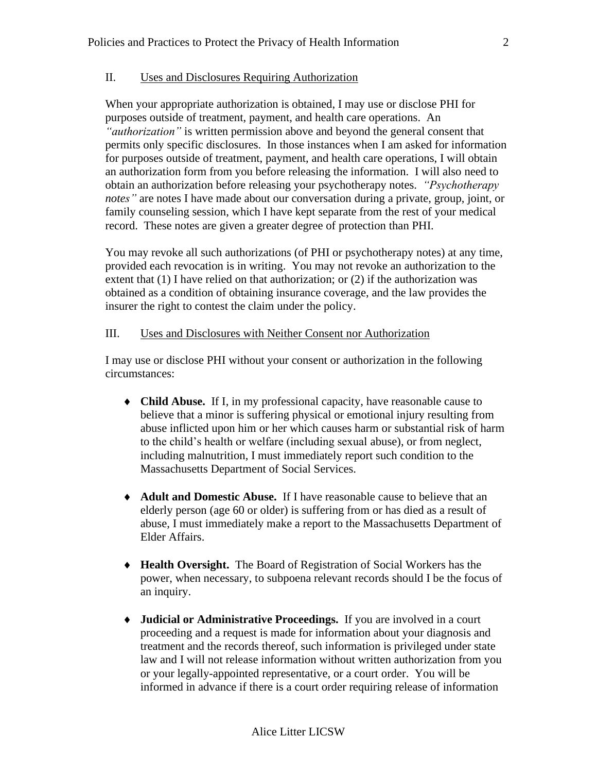# II. Uses and Disclosures Requiring Authorization

When your appropriate authorization is obtained, I may use or disclose PHI for purposes outside of treatment, payment, and health care operations. An *"authorization"* is written permission above and beyond the general consent that permits only specific disclosures. In those instances when I am asked for information for purposes outside of treatment, payment, and health care operations, I will obtain an authorization form from you before releasing the information. I will also need to obtain an authorization before releasing your psychotherapy notes. *"Psychotherapy notes"* are notes I have made about our conversation during a private, group, joint, or family counseling session, which I have kept separate from the rest of your medical record. These notes are given a greater degree of protection than PHI.

You may revoke all such authorizations (of PHI or psychotherapy notes) at any time, provided each revocation is in writing. You may not revoke an authorization to the extent that (1) I have relied on that authorization; or (2) if the authorization was obtained as a condition of obtaining insurance coverage, and the law provides the insurer the right to contest the claim under the policy.

#### III. Uses and Disclosures with Neither Consent nor Authorization

I may use or disclose PHI without your consent or authorization in the following circumstances:

- **Child Abuse.** If I, in my professional capacity, have reasonable cause to believe that a minor is suffering physical or emotional injury resulting from abuse inflicted upon him or her which causes harm or substantial risk of harm to the child's health or welfare (including sexual abuse), or from neglect, including malnutrition, I must immediately report such condition to the Massachusetts Department of Social Services.
- **Adult and Domestic Abuse.** If I have reasonable cause to believe that an elderly person (age 60 or older) is suffering from or has died as a result of abuse, I must immediately make a report to the Massachusetts Department of Elder Affairs.
- **Health Oversight.** The Board of Registration of Social Workers has the power, when necessary, to subpoena relevant records should I be the focus of an inquiry.
- **Judicial or Administrative Proceedings.** If you are involved in a court proceeding and a request is made for information about your diagnosis and treatment and the records thereof, such information is privileged under state law and I will not release information without written authorization from you or your legally-appointed representative, or a court order. You will be informed in advance if there is a court order requiring release of information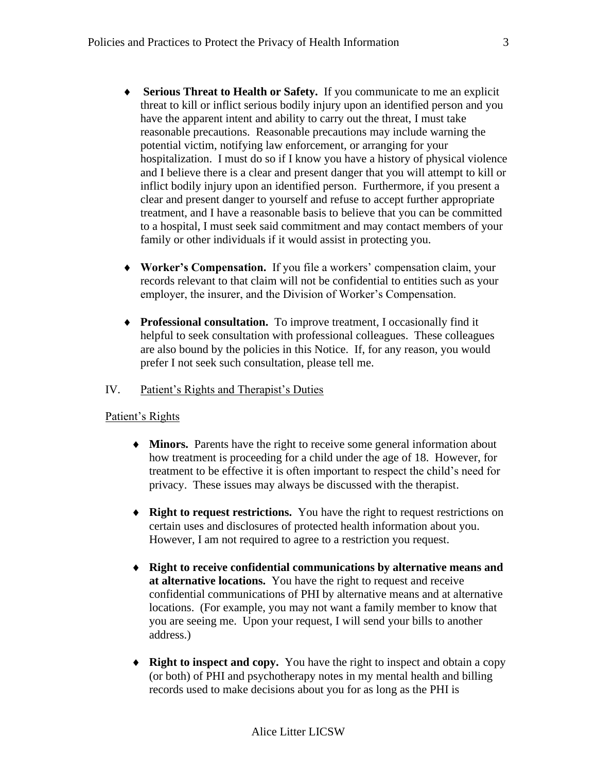- **Serious Threat to Health or Safety.** If you communicate to me an explicit threat to kill or inflict serious bodily injury upon an identified person and you have the apparent intent and ability to carry out the threat, I must take reasonable precautions. Reasonable precautions may include warning the potential victim, notifying law enforcement, or arranging for your hospitalization. I must do so if I know you have a history of physical violence and I believe there is a clear and present danger that you will attempt to kill or inflict bodily injury upon an identified person. Furthermore, if you present a clear and present danger to yourself and refuse to accept further appropriate treatment, and I have a reasonable basis to believe that you can be committed to a hospital, I must seek said commitment and may contact members of your family or other individuals if it would assist in protecting you.
- **Worker's Compensation.** If you file a workers' compensation claim, your records relevant to that claim will not be confidential to entities such as your employer, the insurer, and the Division of Worker's Compensation.
- **Professional consultation.** To improve treatment, I occasionally find it helpful to seek consultation with professional colleagues. These colleagues are also bound by the policies in this Notice. If, for any reason, you would prefer I not seek such consultation, please tell me.

#### IV. Patient's Rights and Therapist's Duties

#### Patient's Rights

- **Minors.** Parents have the right to receive some general information about how treatment is proceeding for a child under the age of 18. However, for treatment to be effective it is often important to respect the child's need for privacy. These issues may always be discussed with the therapist.
- **Right to request restrictions.** You have the right to request restrictions on certain uses and disclosures of protected health information about you. However, I am not required to agree to a restriction you request.
- **Right to receive confidential communications by alternative means and at alternative locations.** You have the right to request and receive confidential communications of PHI by alternative means and at alternative locations. (For example, you may not want a family member to know that you are seeing me. Upon your request, I will send your bills to another address.)
- **Right to inspect and copy.** You have the right to inspect and obtain a copy (or both) of PHI and psychotherapy notes in my mental health and billing records used to make decisions about you for as long as the PHI is